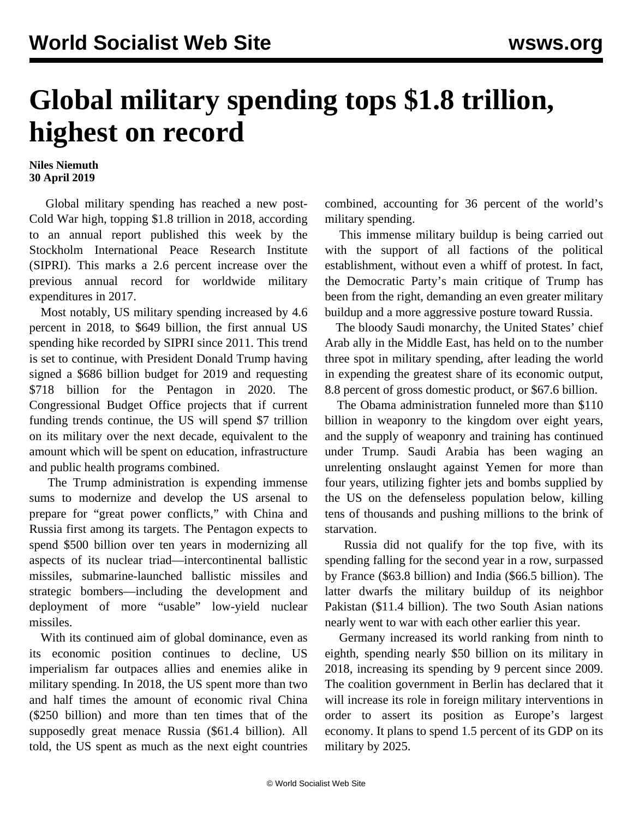## **Global military spending tops \$1.8 trillion, highest on record**

## **Niles Niemuth 30 April 2019**

 Global military spending has reached a new post-Cold War high, topping \$1.8 trillion in 2018, according to an annual report published this week by the Stockholm International Peace Research Institute (SIPRI). This marks a 2.6 percent increase over the previous annual record for worldwide military expenditures in 2017.

 Most notably, US military spending increased by 4.6 percent in 2018, to \$649 billion, the first annual US spending hike recorded by SIPRI since 2011. This trend is set to continue, with President Donald Trump having signed a \$686 billion budget for 2019 and requesting \$718 billion for the Pentagon in 2020. The Congressional Budget Office projects that if current funding trends continue, the US will spend \$7 trillion on its military over the next decade, equivalent to the amount which will be spent on education, infrastructure and public health programs combined.

 The Trump administration is expending immense sums to modernize and develop the US arsenal to prepare for "great power conflicts," with China and Russia first among its targets. The Pentagon expects to spend \$500 billion over ten years in modernizing all aspects of its nuclear triad—intercontinental ballistic missiles, submarine-launched ballistic missiles and strategic bombers—including the development and deployment of more "usable" low-yield nuclear missiles.

 With its continued aim of global dominance, even as its economic position continues to decline, US imperialism far outpaces allies and enemies alike in military spending. In 2018, the US spent more than two and half times the amount of economic rival China (\$250 billion) and more than ten times that of the supposedly great menace Russia (\$61.4 billion). All told, the US spent as much as the next eight countries

combined, accounting for 36 percent of the world's military spending.

 This immense military buildup is being carried out with the support of all factions of the political establishment, without even a whiff of protest. In fact, the Democratic Party's main critique of Trump has been from the right, demanding an even greater military buildup and a more aggressive posture toward Russia.

 The bloody Saudi monarchy, the United States' chief Arab ally in the Middle East, has held on to the number three spot in military spending, after leading the world in expending the greatest share of its economic output, 8.8 percent of gross domestic product, or \$67.6 billion.

 The Obama administration funneled more than \$110 billion in weaponry to the kingdom over eight years, and the supply of weaponry and training has continued under Trump. Saudi Arabia has been waging an unrelenting onslaught against Yemen for more than four years, utilizing fighter jets and bombs supplied by the US on the defenseless population below, killing tens of thousands and pushing millions to the brink of starvation.

 Russia did not qualify for the top five, with its spending falling for the second year in a row, surpassed by France (\$63.8 billion) and India (\$66.5 billion). The latter dwarfs the military buildup of its neighbor Pakistan (\$11.4 billion). The two South Asian nations nearly went to war with each other earlier this year.

 Germany increased its world ranking from ninth to eighth, spending nearly \$50 billion on its military in 2018, increasing its spending by 9 percent since 2009. The coalition government in Berlin has declared that it will increase its role in foreign military interventions in order to assert its position as Europe's largest economy. It plans to spend 1.5 percent of its GDP on its military by 2025.